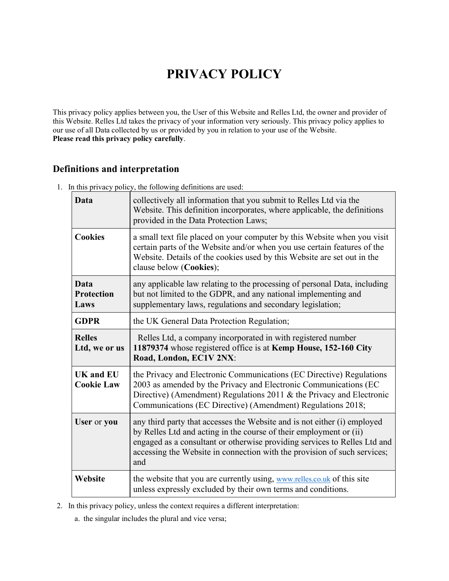# **PRIVACY POLICY**

This privacy policy applies between you, the User of this Website and Relles Ltd, the owner and provider of this Website. Relles Ltd takes the privacy of your information very seriously. This privacy policy applies to our use of all Data collected by us or provided by you in relation to your use of the Website. **Please read this privacy policy carefully**.

# **Definitions and interpretation**

1. In this privacy policy, the following definitions are used:

| Data                              | collectively all information that you submit to Relles Ltd via the<br>Website. This definition incorporates, where applicable, the definitions<br>provided in the Data Protection Laws;                                                                                         |  |
|-----------------------------------|---------------------------------------------------------------------------------------------------------------------------------------------------------------------------------------------------------------------------------------------------------------------------------|--|
| <b>Cookies</b>                    | a small text file placed on your computer by this Website when you visit<br>certain parts of the Website and/or when you use certain features of the<br>Website. Details of the cookies used by this Website are set out in the<br>clause below (Cookies);                      |  |
| Data<br><b>Protection</b><br>Laws | any applicable law relating to the processing of personal Data, including<br>but not limited to the GDPR, and any national implementing and<br>supplementary laws, regulations and secondary legislation;                                                                       |  |
| <b>GDPR</b>                       | the UK General Data Protection Regulation;                                                                                                                                                                                                                                      |  |
| <b>Relles</b><br>Ltd, we or us    | Relles Ltd, a company incorporated in with registered number<br>11879374 whose registered office is at Kemp House, 152-160 City<br>Road, London, EC1V 2NX:                                                                                                                      |  |
| UK and EU<br><b>Cookie Law</b>    | the Privacy and Electronic Communications (EC Directive) Regulations<br>2003 as amended by the Privacy and Electronic Communications (EC<br>Directive) (Amendment) Regulations 2011 & the Privacy and Electronic<br>Communications (EC Directive) (Amendment) Regulations 2018; |  |
| User or you                       | any third party that accesses the Website and is not either (i) employed                                                                                                                                                                                                        |  |
|                                   | by Relles Ltd and acting in the course of their employment or (ii)<br>engaged as a consultant or otherwise providing services to Relles Ltd and<br>accessing the Website in connection with the provision of such services;<br>and                                              |  |

2. In this privacy policy, unless the context requires a different interpretation:

a. the singular includes the plural and vice versa;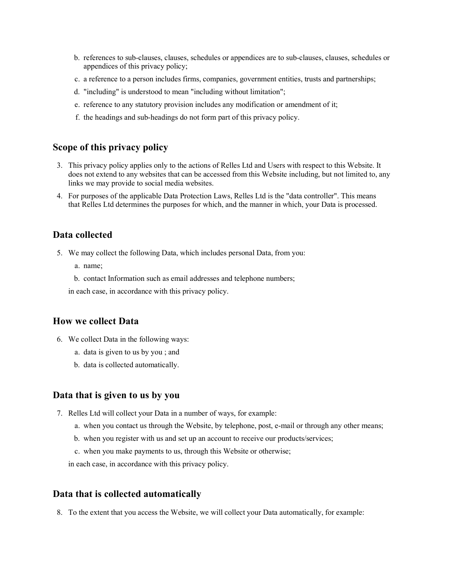- b. references to sub-clauses, clauses, schedules or appendices are to sub-clauses, clauses, schedules or appendices of this privacy policy;
- c. a reference to a person includes firms, companies, government entities, trusts and partnerships;
- d. "including" is understood to mean "including without limitation";
- e. reference to any statutory provision includes any modification or amendment of it;
- f. the headings and sub-headings do not form part of this privacy policy.

#### **Scope of this privacy policy**

- 3. This privacy policy applies only to the actions of Relles Ltd and Users with respect to this Website. It does not extend to any websites that can be accessed from this Website including, but not limited to, any links we may provide to social media websites.
- 4. For purposes of the applicable Data Protection Laws, Relles Ltd is the "data controller". This means that Relles Ltd determines the purposes for which, and the manner in which, your Data is processed.

#### **Data collected**

- 5. We may collect the following Data, which includes personal Data, from you:
	- a. name;
	- b. contact Information such as email addresses and telephone numbers;

in each case, in accordance with this privacy policy.

#### **How we collect Data**

- 6. We collect Data in the following ways:
	- a. data is given to us by you ; and
	- b. data is collected automatically.

#### **Data that is given to us by you**

- 7. Relles Ltd will collect your Data in a number of ways, for example:
	- a. when you contact us through the Website, by telephone, post, e-mail or through any other means;
	- b. when you register with us and set up an account to receive our products/services;
	- c. when you make payments to us, through this Website or otherwise;
	- in each case, in accordance with this privacy policy.

#### **Data that is collected automatically**

8. To the extent that you access the Website, we will collect your Data automatically, for example: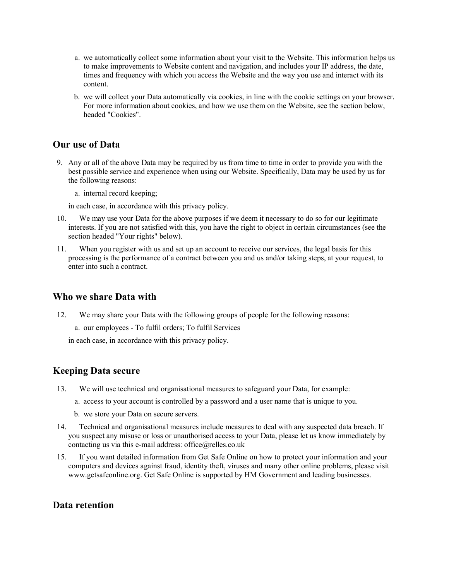- a. we automatically collect some information about your visit to the Website. This information helps us to make improvements to Website content and navigation, and includes your IP address, the date, times and frequency with which you access the Website and the way you use and interact with its content.
- b. we will collect your Data automatically via cookies, in line with the cookie settings on your browser. For more information about cookies, and how we use them on the Website, see the section below, headed "Cookies".

## **Our use of Data**

9. Any or all of the above Data may be required by us from time to time in order to provide you with the best possible service and experience when using our Website. Specifically, Data may be used by us for the following reasons:

a. internal record keeping;

in each case, in accordance with this privacy policy.

- 10. We may use your Data for the above purposes if we deem it necessary to do so for our legitimate interests. If you are not satisfied with this, you have the right to object in certain circumstances (see the section headed "Your rights" below).
- 11. When you register with us and set up an account to receive our services, the legal basis for this processing is the performance of a contract between you and us and/or taking steps, at your request, to enter into such a contract.

## **Who we share Data with**

12. We may share your Data with the following groups of people for the following reasons:

a. our employees - To fulfil orders; To fulfil Services

in each case, in accordance with this privacy policy.

# **Keeping Data secure**

- 13. We will use technical and organisational measures to safeguard your Data, for example:
	- a. access to your account is controlled by a password and a user name that is unique to you.
	- b. we store your Data on secure servers.
- 14. Technical and organisational measures include measures to deal with any suspected data breach. If you suspect any misuse or loss or unauthorised access to your Data, please let us know immediately by contacting us via this e-mail address: office@relles.co.uk
- 15. If you want detailed information from Get Safe Online on how to protect your information and your computers and devices against fraud, identity theft, viruses and many other online problems, please visit www.getsafeonline.org. Get Safe Online is supported by HM Government and leading businesses.

## **Data retention**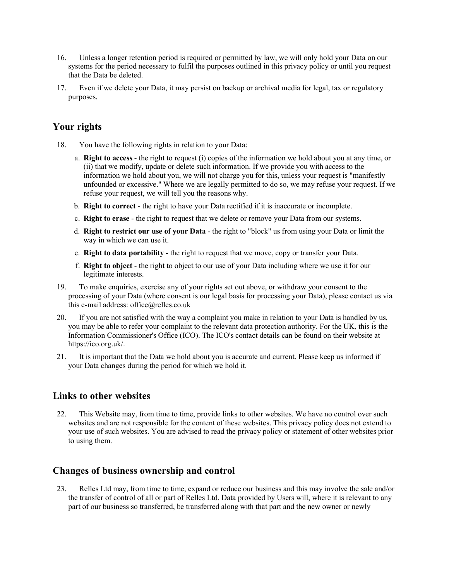- 16. Unless a longer retention period is required or permitted by law, we will only hold your Data on our systems for the period necessary to fulfil the purposes outlined in this privacy policy or until you request that the Data be deleted.
- 17. Even if we delete your Data, it may persist on backup or archival media for legal, tax or regulatory purposes.

# **Your rights**

- 18. You have the following rights in relation to your Data:
	- a. **Right to access** the right to request (i) copies of the information we hold about you at any time, or (ii) that we modify, update or delete such information. If we provide you with access to the information we hold about you, we will not charge you for this, unless your request is "manifestly unfounded or excessive." Where we are legally permitted to do so, we may refuse your request. If we refuse your request, we will tell you the reasons why.
	- b. **Right to correct** the right to have your Data rectified if it is inaccurate or incomplete.
	- c. **Right to erase** the right to request that we delete or remove your Data from our systems.
	- d. **Right to restrict our use of your Data** the right to "block" us from using your Data or limit the way in which we can use it.
	- e. **Right to data portability** the right to request that we move, copy or transfer your Data.
	- f. **Right to object** the right to object to our use of your Data including where we use it for our legitimate interests.
- 19. To make enquiries, exercise any of your rights set out above, or withdraw your consent to the processing of your Data (where consent is our legal basis for processing your Data), please contact us via this e-mail address: office@relles.co.uk
- 20. If you are not satisfied with the way a complaint you make in relation to your Data is handled by us, you may be able to refer your complaint to the relevant data protection authority. For the UK, this is the Information Commissioner's Office (ICO). The ICO's contact details can be found on their website at https://ico.org.uk/.
- 21. It is important that the Data we hold about you is accurate and current. Please keep us informed if your Data changes during the period for which we hold it.

## **Links to other websites**

22. This Website may, from time to time, provide links to other websites. We have no control over such websites and are not responsible for the content of these websites. This privacy policy does not extend to your use of such websites. You are advised to read the privacy policy or statement of other websites prior to using them.

# **Changes of business ownership and control**

23. Relles Ltd may, from time to time, expand or reduce our business and this may involve the sale and/or the transfer of control of all or part of Relles Ltd. Data provided by Users will, where it is relevant to any part of our business so transferred, be transferred along with that part and the new owner or newly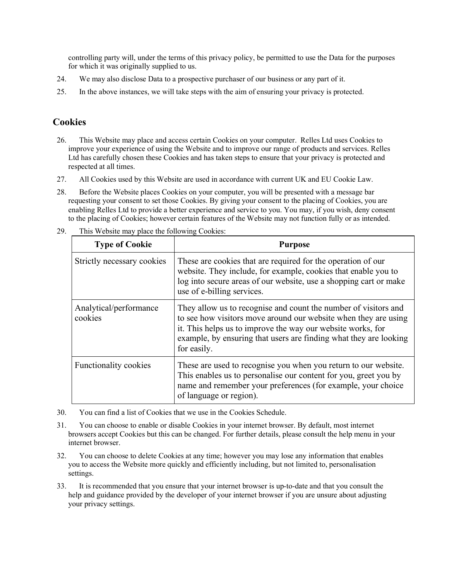controlling party will, under the terms of this privacy policy, be permitted to use the Data for the purposes for which it was originally supplied to us.

- 24. We may also disclose Data to a prospective purchaser of our business or any part of it.
- 25. In the above instances, we will take steps with the aim of ensuring your privacy is protected.

## **Cookies**

- 26. This Website may place and access certain Cookies on your computer. Relles Ltd uses Cookies to improve your experience of using the Website and to improve our range of products and services. Relles Ltd has carefully chosen these Cookies and has taken steps to ensure that your privacy is protected and respected at all times.
- 27. All Cookies used by this Website are used in accordance with current UK and EU Cookie Law.
- 28. Before the Website places Cookies on your computer, you will be presented with a message bar requesting your consent to set those Cookies. By giving your consent to the placing of Cookies, you are enabling Relles Ltd to provide a better experience and service to you. You may, if you wish, deny consent to the placing of Cookies; however certain features of the Website may not function fully or as intended.

| <b>Type of Cookie</b>             | <b>Purpose</b>                                                                                                                                                                                                                                                                        |
|-----------------------------------|---------------------------------------------------------------------------------------------------------------------------------------------------------------------------------------------------------------------------------------------------------------------------------------|
| Strictly necessary cookies        | These are cookies that are required for the operation of our<br>website. They include, for example, cookies that enable you to<br>log into secure areas of our website, use a shopping cart or make<br>use of e-billing services.                                                     |
| Analytical/performance<br>cookies | They allow us to recognise and count the number of visitors and<br>to see how visitors move around our website when they are using<br>it. This helps us to improve the way our website works, for<br>example, by ensuring that users are finding what they are looking<br>for easily. |
| Functionality cookies             | These are used to recognise you when you return to our website.<br>This enables us to personalise our content for you, greet you by<br>name and remember your preferences (for example, your choice<br>of language or region).                                                        |

29. This Website may place the following Cookies:

- 30. You can find a list of Cookies that we use in the Cookies Schedule.
- 31. You can choose to enable or disable Cookies in your internet browser. By default, most internet browsers accept Cookies but this can be changed. For further details, please consult the help menu in your internet browser.
- 32. You can choose to delete Cookies at any time; however you may lose any information that enables you to access the Website more quickly and efficiently including, but not limited to, personalisation settings.
- 33. It is recommended that you ensure that your internet browser is up-to-date and that you consult the help and guidance provided by the developer of your internet browser if you are unsure about adjusting your privacy settings.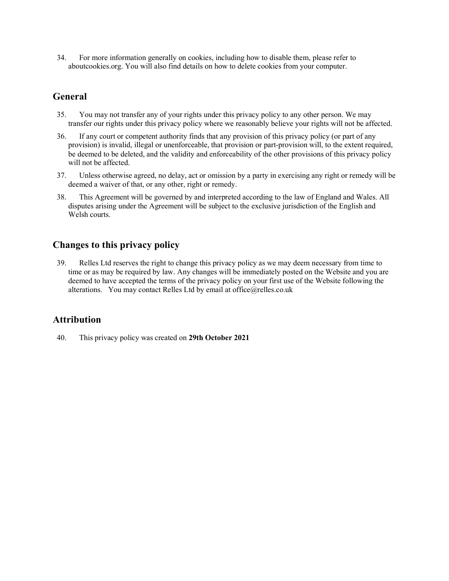34. For more information generally on cookies, including how to disable them, please refer to aboutcookies.org. You will also find details on how to delete cookies from your computer.

## **General**

- 35. You may not transfer any of your rights under this privacy policy to any other person. We may transfer our rights under this privacy policy where we reasonably believe your rights will not be affected.
- 36. If any court or competent authority finds that any provision of this privacy policy (or part of any provision) is invalid, illegal or unenforceable, that provision or part-provision will, to the extent required, be deemed to be deleted, and the validity and enforceability of the other provisions of this privacy policy will not be affected.
- 37. Unless otherwise agreed, no delay, act or omission by a party in exercising any right or remedy will be deemed a waiver of that, or any other, right or remedy.
- 38. This Agreement will be governed by and interpreted according to the law of England and Wales. All disputes arising under the Agreement will be subject to the exclusive jurisdiction of the English and Welsh courts.

# **Changes to this privacy policy**

39. Relles Ltd reserves the right to change this privacy policy as we may deem necessary from time to time or as may be required by law. Any changes will be immediately posted on the Website and you are deemed to have accepted the terms of the privacy policy on your first use of the Website following the alterations. You may contact Relles Ltd by email at office@relles.co.uk

# **Attribution**

40. This privacy policy was created on **29th October 2021**